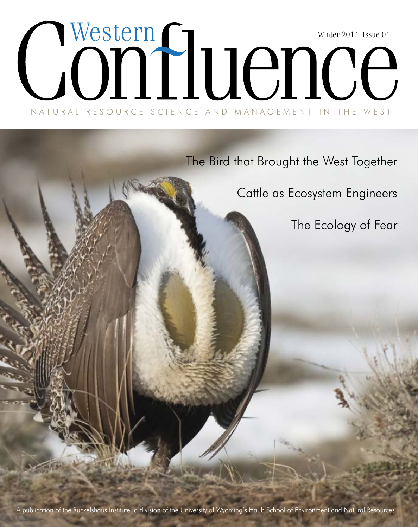## NATURAL RESOURCE SCIENCE AND MANAGEMENT IN THE WEST Winter 2014 Issue 01 Western

The Bird that Brought the West Together

Cattle as Ecosystem Engineers

The Ecology of Fear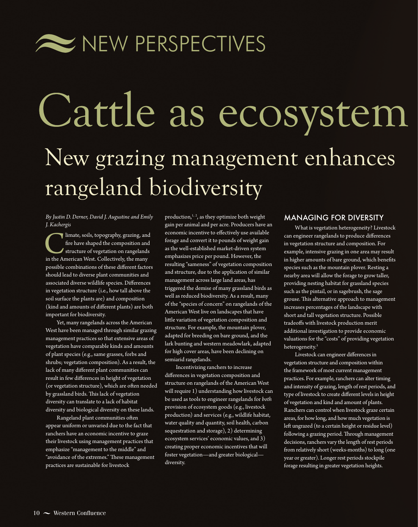

# Cattle as ecosystem New grazing management enhances rangeland biodiversity

*By Justin D. Derner, David J. Augustine and Emily J. Kachergis*

Iimate, soils, topography, grazing, and fire have shaped the composition and structure of vegetation on rangelands in the American West. Collectively, the many fre have shaped the composition and structure of vegetation on rangelands possible combinations of these diferent factors should lead to diverse plant communities and associated diverse wildlife species. Diferences in vegetation structure (i.e., how tall above the soil surface the plants are) and composition (kind and amounts of diferent plants) are both important for biodiversity.

Yet, many rangelands across the American West have been managed through similar grazing management practices so that extensive areas of vegetation have comparable kinds and amounts of plant species (e.g., same grasses, forbs and shrubs; vegetation composition). As a result, the lack of many diferent plant communities can result in few diferences in height of vegetation (or vegetation structure), which are often needed by grassland birds. This lack of vegetation diversity can translate to a lack of habitat diversity and biological diversity on these lands.

Rangeland plant communities ofen appear uniform or unvaried due to the fact that ranchers have an economic incentive to graze their livestock using management practices that emphasize "management to the middle" and "avoidance of the extremes." These management practices are sustainable for livestock

production,<sup>1, 2</sup>, as they optimize both weight gain per animal and per acre. Producers have an economic incentive to efectively use available forage and convert it to pounds of weight gain as the well-established market-driven system emphasizes price per pound. However, the resulting "sameness" of vegetation composition and structure, due to the application of similar management across large land areas, has triggered the demise of many grassland birds as well as reduced biodiversity. As a result, many of the "species of concern" on rangelands of the American West live on landscapes that have litle variation of vegetation composition and structure. For example, the mountain plover, adapted for breeding on bare ground, and the lark bunting and western meadowlark, adapted for high cover areas, have been declining on semiarid rangelands.

Incentivizing ranchers to increase diferences in vegetation composition and structure on rangelands of the American West will require 1) understanding how livestock can be used as tools to engineer rangelands for *both* provision of ecosystem goods (e.g., livestock production) and services (e.g., wildlife habitat, water quality and quantity, soil health, carbon sequestration and storage), 2) determining ecosystem services' economic values, and 3) creating proper economic incentives that will foster vegetation—and greater biological diversity.

#### MANAGING FOR DIVERSITY

What is vegetation heterogeneity? Livestock can engineer rangelands to produce diferences in vegetation structure and composition. For example, intensive grazing in one area may result in higher amounts of bare ground, which benefts species such as the mountain plover. Resting a nearby area will allow the forage to grow taller, providing nesting habitat for grassland species such as the pintail, or in sagebrush, the sage grouse. This alternative approach to management increases percentages of the landscape with short and tall vegetation structure. Possible tradeofs with livestock production merit additional investigation to provide economic valuations for the "costs" of providing vegetation heterogeneity.<sup>3</sup>

Livestock can engineer diferences in vegetation structure and composition within the framework of most current management practices. For example, ranchers can alter timing and intensity of grazing, length of rest periods, and type of livestock to create diferent levels in height of vegetation and kind and amount of plants. Ranchers can control when livestock graze certain areas, for how long, and how much vegetation is left ungrazed (to a certain height or residue level) following a grazing period. Through management decisions, ranchers vary the length of rest periods from relatively short (weeks-months) to long (one year or greater). Longer rest periods stockpile forage resulting in greater vegetation heights.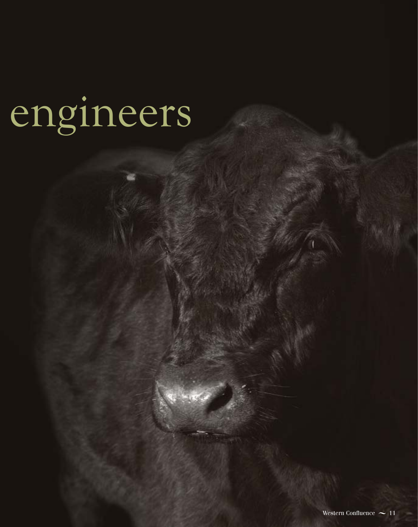# engineers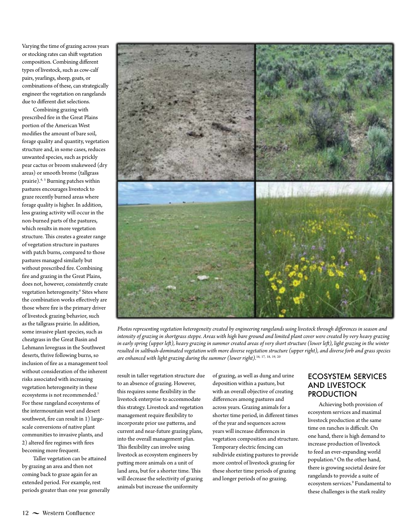Varying the time of grazing across years or stocking rates can shift vegetation composition. Combining diferent types of livestock, such as cow-calf pairs, yearlings, sheep, goats, or combinations of these, can strategically engineer the vegetation on rangelands due to diferent diet selections.

Combining grazing with prescribed fre in the Great Plains portion of the American West modifes the amount of bare soil, forage quality and quantity, vegetation structure and, in some cases, reduces unwanted species, such as prickly pear cactus or broom snakeweed (dry areas) or smooth brome (tallgrass prairie).4, <sup>5</sup> Burning patches within pastures encourages livestock to graze recently burned areas where forage quality is higher. In addition, less grazing activity will occur in the non-burned parts of the pastures, which results in more vegetation structure. This creates a greater range of vegetation structure in pastures with patch burns, compared to those pastures managed similarly but without prescribed fre. Combining fre and grazing in the Great Plains, does not, however, consistently create vegetation heterogeneity.<sup>6</sup> Sites where the combination works efectively are those where fre is the primary driver of livestock grazing behavior, such as the tallgrass prairie. In addition, some invasive plant species, such as cheatgrass in the Great Basin and Lehmann lovegrass in the Southwest deserts, thrive following burns, so inclusion of fre as a management tool without consideration of the inherent risks associated with increasing vegetation heterogeneity in these ecosystems is not recommended.7 For these rangeland ecosystems of the intermountain west and desert southwest, fre can result in 1) largescale conversions of native plant communities to invasive plants, and 2) altered fre regimes with fres becoming more frequent.

Taller vegetation can be atained by grazing an area and then not coming back to graze again for an extended period. For example, rest periods greater than one year generally



*Photos representing vegetation heterogeneity created by engineering rangelands using livestock through diferences in season and intensity of grazing in shortgrass steppe. Areas with high bare ground and limited plant cover were created by very heavy grazing in early spring (upper lef), heavy grazing in summer created areas of very short structure (lower lef), light grazing in the winter resulted in saltbush-dominated vegetation with more diverse vegetation structure (upper right), and diverse forb and grass species are enhanced with light grazing during the summer (lower right).*<sup>16</sup>*,* <sup>17</sup>*,* <sup>18</sup>*,* <sup>19</sup>*,* <sup>20</sup>

result in taller vegetation structure due to an absence of grazing. However, this requires some fexibility in the livestock enterprise to accommodate this strategy. Livestock and vegetation management require fexibility to incorporate prior use paterns, and current and near-future grazing plans, into the overall management plan. This flexibility can involve using livestock as ecosystem engineers by puting more animals on a unit of land area, but for a shorter time. This will decrease the selectivity of grazing animals but increase the uniformity

of grazing, as well as dung and urine deposition within a pasture, but with an overall objective of creating diferences among pastures and across years. Grazing animals for a shorter time period, in diferent times of the year and sequences across years will increase diferences in vegetation composition and structure. Temporary electric fencing can subdivide existing pastures to provide more control of livestock grazing for these shorter time periods of grazing and longer periods of no grazing.

#### ECOSYSTEM SERVICES AND LIVESTOCK PRODUCTION

Achieving both provision of ecosystem services and maximal livestock production at the same time on ranches is difficult. On one hand, there is high demand to increase production of livestock to feed an ever-expanding world population.8 On the other hand, there is growing societal desire for rangelands to provide a suite of ecosystem services.9 Fundamental to these challenges is the stark reality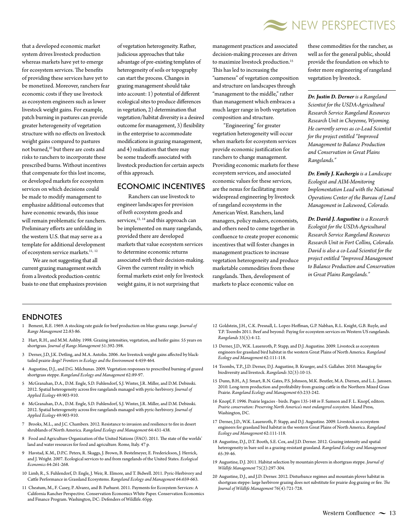

that a developed economic market system drives livestock production whereas markets have yet to emerge for ecosystem services. The benefits of providing these services have yet to be monetized. Moreover, ranchers fear economic costs if they use livestock as ecosystem engineers such as lower livestock weight gains. For example, patch burning in pastures can provide greater heterogeneity of vegetation structure with no efects on livestock weight gains compared to pastures not burned,<sup>10</sup> but there are costs and risks to ranchers to incorporate these prescribed burns. Without incentives that compensate for this lost income, or developed markets for ecosystem services on which decisions could be made to modify management to emphasize additional outcomes that have economic rewards, this issue will remain problematic for ranchers. Preliminary efforts are unfolding in the western U.S. that may serve as a template for additional development of ecosystem service markets.  $^{\rm 11,\,12}$ 

We are not suggesting that all current grazing management switch from a livestock production-centric basis to one that emphasizes provision of vegetation heterogeneity. Rather, judicious approaches that take advantage of pre-existing templates of heterogeneity of soils or topography can start the process. Changes in grazing management should take into account: 1) potential of diferent ecological sites to produce diferences in vegetation, 2) determination that vegetation/habitat diversity is a desired outcome for management, 3) fexibility in the enterprise to accommodate modifcations in grazing management, and 4) realization that there may be some tradeofs associated with livestock production for certain aspects of this approach.

#### ECONOMIC INCENTIVES

Ranchers can use livestock to engineer landscapes for provision of *both* ecosystem goods and services, $13, 14$  and this approach can be implemented on many rangelands, provided there are developed markets that value ecosystem services to determine economic returns associated with their decision-making. Given the current reality in which formal markets exist only for livestock weight gains, it is not surprising that

management practices and associated decision-making processes are driven to maximize livestock production.<sup>15</sup> This has led to increasing the "sameness" of vegetation composition and structure on landscapes through "management to the middle," rather than management which embraces a much larger range in both vegetation composition and structure.

"Engineering" for greater vegetation heterogeneity will occur when markets for ecosystem services provide economic justifcation for ranchers to change management. Providing economic markets for these ecosystem services, and associated economic values for these services, are the nexus for facilitating more widespread engineering by livestock of rangeland ecosystems in the American West. Ranchers, land managers, policy makers, economists, and others need to come together in confuence to create proper economic incentives that will foster changes in management practices to increase vegetation heterogeneity and produce marketable commodities from these rangelands. Then, development of markets to place economic value on

these commodities for the rancher, as well as for the general public, should provide the foundation on which to foster more engineering of rangeland vegetation by livestock.

*Dr. Justin D. Derner is a Rangeland Scientist for the USDA-Agricultural Research Service Rangeland Resources Research Unit in Cheyenne, Wyoming. He currently serves as co-Lead Scientist for the project entitled "Improved Management to Balance Production and Conservation in Great Plains Rangelands."*

*Dr. Emily J. Kachergis is a Landscape Ecologist and AIM-Monitoring Implementation Lead with the National Operations Center of the Bureau of Land Management in Lakewood, Colorado.*

*Dr. David J. Augustine is a Research Ecologist for the USDA-Agricultural Research Service Rangeland Resources Research Unit in Fort Collins, Colorado. David is also a co-Lead Scientist for the project entitled "Improved Management to Balance Production and Conservation in Great Plains Rangelands."*

#### ENDNOTES

- 1 Bement, R.E. 1969. A stocking rate guide for beef production on blue-grama range. *Journal of Range Management* 22:83-86.
- 2 Hart, R.H., and M.M. Ashby. 1998. Grazing intensities, vegetation, and heifer gains: 55 years on shortgrass. *Journal of Range Management* 51:392-398.
- 3 Derner, J.D, J.K. Detling, and M.A. Antolin. 2006. Are livestock weight gains afected by blacktailed prairie dogs? *Frontiers in Ecology and the Environment* 4:459-464.
- 4 Augustine, D.J., and D.G. Milchunas. 2009. Vegetation responses to prescribed burning of grazed shortgrass steppe. *Rangeland Ecology and Management* 62:89-97.
- 5 McGranahan, D.A., D.M. Engle, S.D. Fuhlendorf, S.J. Winter, J.R. Miller, and D.M. Debinski. 2012. Spatial heterogeneity across fve rangelands managed with pyric-herbivory. *Journal of Applied Ecology* 49:903-910.
- 6 McGranahan, D.A., D.M. Engle, S.D. Fuhlendorf, S.J. Winter, J.R. Miller, and D.M. Debinski. 2012. Spatial heterogeneity across fve rangelands managed with pyric-herbivory. *Journal of Applied Ecology* 49:903-910.
- 7 Brooks, M.L., and J.C. Chambers. 2012. Resistance to invasion and resilience to fre in desert shrublands of North America. *Rangeland Ecology and Management* 64:431-438.
- 8 Food and Agriculture Organization of the United Nations (FAO). 2011. The state of the worlds' land and water resources for food and agriculture. Rome, Italy. 47 p.
- 9 Havstad, K.M., D.P.C. Peters, R. Skaggs, J. Brown, B. Bestelmeyer, E. Frederickson, J. Herrick, and J. Wright. 2007. Ecological services to and from rangelands of the United States. *Ecological Economics* 64:261-268.
- 10 Limb, R., S. Fuhlendorf, D. Engle, J. Weir, R. Elmore, and T. Bidwell. 2011. Pyric-Herbivory and Catle Performance in Grassland Ecosystems. *Rangeland Ecology and Management* 64:659-663.
- 11 Cheatum, M., F. Casey, P. Alvarez, and B. Parhurst. 2011. Payments for Ecosystem Services: A California Rancher Perspective. Conservation Economics White Paper. Conservation Economics and Finance Program. Washington, DC: Defenders of Wildlife. 65pp.
- 12 Goldstein, J.H., C.K. Presnall, L. Lopez-Hofman, G.P. Nabhan, R.L. Knight, G.B. Ruyle, and T.P. Toombs 2011. Beef and beyond: Paying for ecosystem services on Western US rangelands. *Rangelands* 33(5):4-12.
- 13 Derner, J.D., W.K. Lauenroth, P. Stapp, and D.J. Augustine. 2009. Livestock as ecosystem engineers for grassland bird habitat in the western Great Plains of North America. *Rangeland Ecology and Management* 62:111-118.
- 14 Toombs, T.P., J.D. Derner, D.J. Augustine, B. Krueger, and S. Gallaher. 2010. Managing for biodiversity and livestock. *Rangelands* 32(3):10-15.
- 15 Dunn, B.H., A.J. Smart, R.N. Gates, P.S. Johnson, M.K. Beutler, M.A. Diersen, and L.L. Janssen. 2010. Long-term production and proftability from grazing catle in the Northern Mixed Grass Prairie. *Rangeland Ecology and Management* 63:233-242.
- 16 Knopf, F. 1996. Prairie legacies birds. Pages 135-148 *in* F. Samson and F. L. Knopf, editors. *Prairie conservation: Preserving North America's most endangered ecosystem*. Island Press, Washington, DC.
- 17 Derner, J.D., W.K. Lauenroth, P. Stapp, and D.J. Augustine. 2009. Livestock as ecosystem engineers for grassland bird habitat in the western Great Plains of North America. *Rangeland Ecology and Management* 62:111-118.
- 18 Augustine, D.J., D.T. Booth, S.E. Cox, and J.D. Derner. 2012. Grazing intensity and spatial heterogeneity in bare soil in a grazing-resistant grassland. *Rangeland Ecology and Management* 65:39-46.
- 19 Augustine, D.J. 2011. Habitat selection by mountain plovers in shortgrass steppe. *Journal of Wildlife Management* 75(2):297-304.
- 20 Augustine, D.J., and J.D. Derner. 2012. Disturbance regimes and mountain plover habitat in shortgrass steppe: large herbivore grazing does not substitute for prairie dog grazing or fre. *Te Journal of Wildlife Management* 76(4):721-728.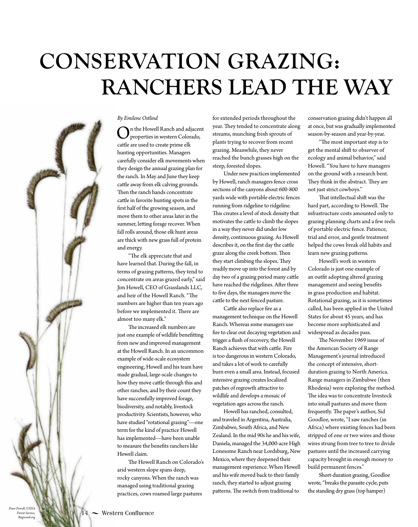## **CONSERVATION GRAZING: RANCHERS LEAD THE WAY**



*Bugwood.org*

#### *By Emilene Ostlind*

n the Howell Ranch and adjacent properties in western Colorado, cattle are used to create prime elk hunting opportunities. Managers carefully consider elk movements when they design the annual grazing plan for the ranch. In May and June they keep cattle away from elk calving grounds. Then the ranch hands concentrate catle in favorite hunting spots in the frst half of the growing season, and move them to other areas later in the summer, leting forage recover. When fall rolls around, those elk hunt areas are thick with new grass full of protein and energy.

 $\mbox{``The elk appreciate that and}$ have learned that. During the fall, in terms of grazing paterns, they tend to concentrate on areas grazed early," said Jim Howell, CEO of Grasslands LLC, and heir of the Howell Ranch. "The numbers are higher than ten years ago before we implemented it. There are almost too many elk."

The increased elk numbers are just one example of wildlife benefitting from new and improved management at the Howell Ranch. In an uncommon example of wide-scale ecosystem engineering, Howell and his team have made gradual, large-scale changes to how they move cattle through this and other ranches, and by their count they have successfully improved forage, biodiversity, and notably, livestock productivity. Scientists, however, who have studied "rotational grazing"—one term for the kind of practice Howell has implemented—have been unable to measure the benefts ranchers like Howell claim.

The Howell Ranch on Colorado's arid western slope spans deep, rocky canyons. When the ranch was managed using traditional grazing practices, cows roamed large pastures

for extended periods throughout the year. They tended to concentrate along streams, munching fresh sprouts of plants trying to recover from recent grazing. Meanwhile, they never reached the bunch grasses high on the steep, forested slopes.

Under new practices implemented by Howell, ranch managers fence cross sections of the canyons about 600-800 yards wide with portable electric fences running from ridgeline to ridgeline. This creates a level of stock density that motivates the catle to climb the slopes in a way they never did under low density, continuous grazing. As Howell describes it, on the frst day the catle graze along the creek bottom. Then they start climbing the slopes. They readily move up into the forest and by day two of a grazing period many catle have reached the ridgelines. After three to fve days, the managers move the cattle to the next fenced pasture.

Cattle also replace fire as a management technique on the Howell Ranch. Whereas some managers use fre to clear out decaying vegetation and trigger a fush of recovery, the Howell Ranch achieves that with catle. Fire is too dangerous in western Colorado, and takes a lot of work to carefully burn even a small area. Instead, focused intensive grazing creates localized patches of regrowth atractive to wildlife and develops a mosaic of vegetation ages across the ranch.

Howell has ranched, consulted, and traveled in Argentina, Australia, Zimbabwe, South Africa, and New Zealand. In the mid 90s he and his wife, Daniela, managed the 34,000-acre High Lonesome Ranch near Lordsburg, New Mexico, where they deepened their management experience. When Howell and his wife moved back to their family ranch, they started to adjust grazing patterns. The switch from traditional to

conservation grazing didn't happen all at once, but was gradually implemented season-by-season and year-by-year.

"The most important step is to get the mental shift to observer of ecology and animal behavior," said Howell. "You have to have managers on the ground with a research bent. They think in the abstract. They are not just strict cowboys."

That intellectual shift was the hard part, according to Howell. The infrastructure costs amounted only to grazing planning charts and a few reels of portable electric fence. Patience, trial and error, and gentle treatment helped the cows break old habits and learn new grazing patterns.

Howell's work in western Colorado is just one example of an outft adopting altered grazing management and seeing benefts in grass production and habitat. Rotational grazing, as it is sometimes called, has been applied in the United States for about 45 years, and has become more sophisticated and widespread as decades pass.

The November 1969 issue of the American Society of Range Management's journal introduced the concept of intensive, shortduration grazing to North America. Range managers in Zimbabwe (then Rhodesia) were exploring the method. The idea was to concentrate livestock into small pastures and move them frequently. The paper's author, Sid Goodloe, wrote, "I saw ranches (in Africa) where existing fences had been stripped of one or two wires and those wires strung from tree to tree to divide pastures until the increased carrying capacity brought in enough money to build permanent fences."

Short-duration grazing, Goodloe wrote, "breaks the parasite cycle, puts the standing dry grass (top hamper)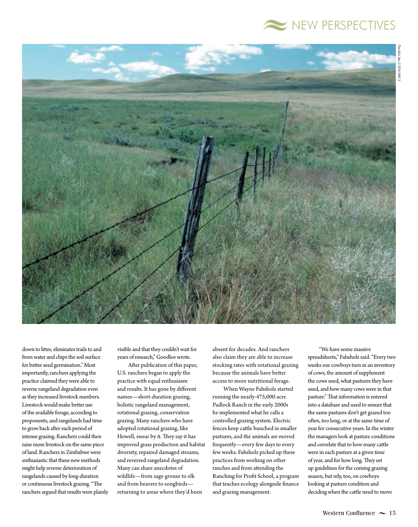



down to liter, eliminates trails to and from water and chips the soil surface for better seed germination." Most importantly, ranchers applying the practice claimed they were able to reverse rangeland degradation even as they increased livestock numbers. Livestock would make better use of the available forage, according to proponents, and rangelands had time to grow back after each period of intense grazing. Ranchers could then raise more livestock on the same piece of land. Ranchers in Zimbabwe were enthusiastic that these new methods might help reverse deterioration of rangelands caused by long-duration or continuous livestock grazing. "The ranchers argued that results were plainly

visible and that they couldn't wait for years of research," Goodloe wrote.

Afer publication of this paper, U.S. ranchers began to apply the practice with equal enthusiasm and results. It has gone by diferent names—short-duration grazing, holistic rangeland management, rotational grazing, conservation grazing. Many ranchers who have adopted rotational grazing, like Howell, swear by it. They say it has improved grass production and habitat diversity, repaired damaged streams, and reversed rangeland degradation. Many can share anecdotes of wildlife—from sage grouse to elk and from beavers to songbirds returning to areas where they'd been

absent for decades. And ranchers also claim they are able to increase stocking rates with rotational grazing because the animals have better access to more nutritional forage.

When Wayne Fahsholz started running the nearly-475,000-acre Padlock Ranch in the early 2000s he implemented what he calls a controlled grazing system. Electric fences keep cattle bunched in smaller pastures, and the animals are moved frequently—every few days to every few weeks. Fahsholz picked up these practices from working on other ranches and from attending the Ranching for Proft School, a program that teaches ecology alongside fnance and grazing management.

"We have some massive spreadsheets," Fahsholz said. "Every two weeks our cowboys turn in an inventory of cows, the amount of supplement the cows used, what pastures they have used, and how many cows were in that pasture." That information is entered into a database and used to ensure that the same pastures don't get grazed too often, too long, or at the same time of year for consecutive years. In the winter the managers look at pasture conditions and correlate that to how many catle were in each pasture at a given time of year, and for how long. They set up guidelines for the coming grazing season, but rely, too, on cowboys looking at pasture condition and deciding when the catle need to move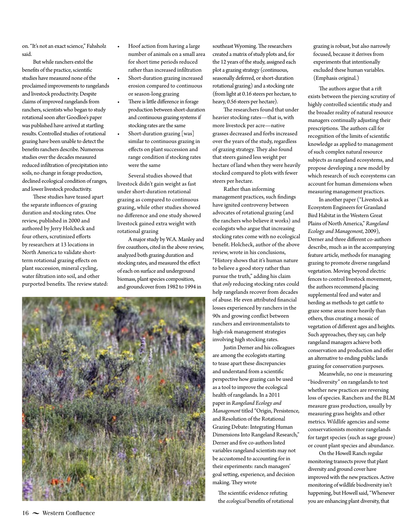on. "It's not an exact science," Fahsholz said.

But while ranchers extol the benefts of the practice, scientifc studies have measured none of the proclaimed improvements to rangelands and livestock productivity. Despite claims of improved rangelands from ranchers, scientists who began to study rotational soon after Goodloe's paper was published have arrived at startling results. Controlled studies of rotational grazing have been unable to detect the benefts ranchers describe. Numerous studies over the decades measured reduced infltration of precipitation into soils, no change in forage production, declined ecological condition of ranges, and lower livestock productivity.

These studies have teased apart the separate infuences of grazing duration and stocking rates. One review, published in 2000 and authored by Jerry Holcheck and four others, scrutinized efforts by researchers at 13 locations in North America to validate shortterm rotational grazing efects on plant succession, mineral cycling, water fltration into soil, and other purported benefits. The review stated:

- Hoof action from having a large number of animals on a small area for short time periods reduced rather than increased infltration
- Short-duration grazing increased erosion compared to continuous or season-long grazing
- There is little difference in forage production between short-duration and continuous grazing systems if stocking rates are the same
- Short-duration grazing [was] similar to continuous grazing in efects on plant succession and range condition if stocking rates were the same

Several studies showed that livestock didn't gain weight as fast under short-duration rotational grazing as compared to continuous grazing, while other studies showed no diference and one study showed livestock gained extra weight with rotational grazing

A major study by W.A. Manley and fve coauthors, cited in the above review, analyzed both grazing duration and stocking rates, and measured the efect of each on surface and underground biomass, plant species composition, and groundcover from 1982 to 1994 in



southeast Wyoming. The researchers created a matrix of study plots and, for the 12 years of the study, assigned each plot a grazing strategy (continuous, seasonally deferred, or short-duration rotational grazing) and a stocking rate (from light at 0.16 steers per hectare, to heavy, 0.56 steers per hectare).

The researchers found that under heavier stocking rates—that is, with more livestock per acre—native grasses decreased and forbs increased over the years of the study, regardless of grazing strategy. They also found that steers gained less weight per hectare of land when they were heavily stocked compared to plots with fewer steers per hectare.

Rather than informing management practices, such fndings have ignited controversy between advocates of rotational grazing (and the ranchers who believe it works) and ecologists who argue that increasing stocking rates come with no ecological beneft. Holcheck, author of the above review, wrote in his conclusions, "History shows that it's human nature to believe a good story rather than pursue the truth," adding his claim that *only* reducing stocking rates could help rangelands recover from decades of abuse. He even atributed fnancial losses experienced by ranchers in the 90s and growing confict between ranchers and environmentalists to high-risk management strategies involving high stocking rates.

Justin Derner and his colleagues are among the ecologists starting to tease apart these discrepancies and understand from a scientifc perspective how grazing can be used as a tool to improve the ecological health of rangelands. In a 2011 paper in *Rangeland Ecology and Management* titled "Origin, Persistence, and Resolution of the Rotational Grazing Debate: Integrating Human Dimensions Into Rangeland Research," Derner and fve co-authors listed variables rangeland scientists may not be accustomed to accounting for in their experiments: ranch managers' goal seting, experience, and decision making. They wrote

The scientific evidence refuting the *ecological* benefts of rotational grazing is robust, but also narrowly focused, because it derives from experiments that intentionally excluded these human variables. (Emphasis original.)

The authors argue that a rift exists between the piercing scrutiny of highly controlled scientifc study and the broader reality of natural resource managers continually adjusting their prescriptions. The authors call for recognition of the limits of scientifc knowledge as applied to management of such complex natural resource subjects as rangeland ecosystems, and propose developing a new model by which research of such ecosystems can account for human dimensions when measuring management practices.

In another paper ("Livestock as Ecosystem Engineers for Grassland Bird Habitat in the Western Great Plains of North America," *Rangeland Ecology and Management*, 2009), Derner and three diferent co-authors describe, much as in the accompanying feature article, methods for managing grazing to promote diverse rangeland vegetation. Moving beyond electric fences to control livestock movement, the authors recommend placing supplemental feed and water and herding as methods to get catle to graze some areas more heavily than others, thus creating a mosaic of vegetation of diferent ages and heights. Such approaches, they say, can help rangeland managers achieve both conservation and production and ofer an alternative to ending public lands grazing for conservation purposes.

Meanwhile, no one is measuring "biodiversity" on rangelands to test whether new practices are reversing loss of species. Ranchers and the BLM measure grass production, usually by measuring grass heights and other metrics. Wildlife agencies and some conservationists monitor rangelands for target species (such as sage grouse) or count plant species and abundance.

On the Howell Ranch regular monitoring transects prove that plant diversity and ground cover have improved with the new practices. Active monitoring of wildlife biodiversity isn't happening, but Howell said, "Whenever you are enhancing plant diversity, that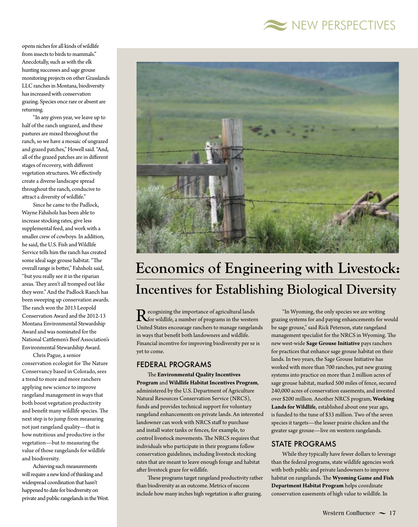

opens niches for all kinds of wildlife from insects to birds to mammals." Anecdotally, such as with the elk hunting successes and sage grouse monitoring projects on other Grasslands LLC ranches in Montana, biodiversity has increased with conservation grazing. Species once rare or absent are returning.

"In any given year, we leave up to half of the ranch ungrazed, and these pastures are mixed throughout the ranch, so we have a mosaic of ungrazed and grazed patches," Howell said. "And, all of the grazed patches are in diferent stages of recovery, with diferent vegetation structures. We efectively create a diverse landscape spread throughout the ranch, conducive to atract a diversity of wildlife."

Since he came to the Padlock, Wayne Fahsholz has been able to increase stocking rates, give less supplemental feed, and work with a smaller crew of cowboys. In addition, he said, the U.S. Fish and Wildlife Service tells him the ranch has created some ideal sage grouse habitat. "The overall range is beter," Fahsholz said, "but you really see it in the riparian areas. They aren't all tromped out like they were." And the Padlock Ranch has been sweeping up conservation awards. The ranch won the 2013 Leopold Conservation Award and the 2012-13 Montana Environmental Stewardship Award and was nominated for the National Catlemen's Beef Association's Environmental Stewardship Award.

Chris Pague, a senior conservation ecologist for The Nature Conservancy based in Colorado, sees a trend to more and more ranchers applying new science to improve rangeland management in ways that both boost vegetation productivity and benefit many wildlife species. The next step is to jump from measuring not just rangeland quality—that is how nutritious and productive is the vegetation—but to measuring the value of those rangelands for wildlife and biodiversity.

Achieving such measurements will require a new kind of thinking and widespread coordination that hasn't happened to date for biodiversity on private and public rangelands in the West.



### **Economics of Engineering with Livestock: Incentives for Establishing Biological Diversity**

Recognizing the importance of agricultural lands<br>
for wildlife, a number of programs in the western<br>
Heited States as converges we should be associated United States encourage ranchers to manage rangelands in ways that beneft both landowners and wildlife. Financial incentive for improving biodiversity per se is yet to come.

#### FEDERAL PROGRAMS

**The Environmental Quality Incentives Program** and **Wildlife Habitat Incentives Program**, administered by the U.S. Department of Agriculture Natural Resources Conservation Service (NRCS), funds and provides technical support for voluntary rangeland enhancements on private lands. An interested landowner can work with NRCS staff to purchase and install water tanks or fences, for example, to control livestock movements. The NRCS requires that individuals who participate in their programs follow conservation guidelines, including livestock stocking rates that are meant to leave enough forage and habitat after livestock graze for wildlife.

These programs target rangeland productivity rather than biodiversity as an outcome. Metrics of success include how many inches high vegetation is after grazing.

"In Wyoming, the only species we are writing grazing systems for and paying enhancements for would be sage grouse," said Rick Peterson, state rangeland management specialist for the NRCS in Wyoming. The new west-wide **Sage Grouse Initiative** pays ranchers for practices that enhance sage grouse habitat on their lands. In two years, the Sage Grouse Initiative has worked with more than 700 ranches, put new grazing systems into practice on more than 2 million acres of sage grouse habitat, marked 500 miles of fence, secured 240,000 acres of conservation easements, and invested over \$200 million. Another NRCS program, **Working Lands for Wildlife**, established about one year ago, is funded to the tune of \$33 million. Two of the seven species it targets—the lesser prairie chicken and the greater sage grouse—live on western rangelands.

#### STATE PROGRAMS

While they typically have fewer dollars to leverage than the federal programs, state wildlife agencies work with both public and private landowners to improve habitat on rangelands. The Wyoming Game and Fish **Department Habitat Program** helps coordinate conservation easements of high value to wildlife. In